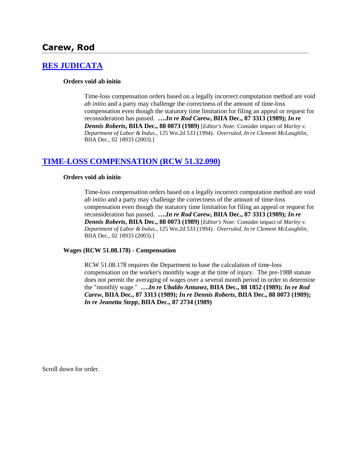## **Carew, Rod**

## **[RES JUDICATA](http://www.biia.wa.gov/SDSubjectIndex.html#RES_JUDICATA)**

#### **Orders void ab initio**

Time-loss compensation orders based on a legally incorrect computation method are void *ab initio* and a party may challenge the correctness of the amount of time-loss compensation even though the statutory time limitation for filing an appeal or request for reconsideration has passed. **….***In re Rod Carew***, BIIA Dec., 87 3313 (1989);** *In re Dennis Roberts***, BIIA Dec., 88 0073 (1989)** [*Editor's Note:* Consider impact of *Marley v. Department of Labor & Indus*., 125 Wn.2d 533 (1994). *Overruled, In re Clement McLaughlin*, BIIA Dec., 02 18933 (2003).]

## **[TIME-LOSS COMPENSATION \(RCW 51.32.090\)](http://www.biia.wa.gov/SDSubjectIndex.html#TIME_LOSS_COMPENSATION)**

#### **Orders void ab initio**

Time-loss compensation orders based on a legally incorrect computation method are void *ab initio* and a party may challenge the correctness of the amount of time-loss compensation even though the statutory time limitation for filing an appeal or request for reconsideration has passed. **….***In re Rod Carew***, BIIA Dec., 87 3313 (1989);** *In re Dennis Roberts***, BIIA Dec., 88 0073 (1989)** [*Editor's Note:* Consider impact of *Marley v. Department of Labor & Indus*., 125 Wn.2d 533 (1994). *Overruled, In re Clement McLaughlin*, BIIA Dec., 02 18933 (2003).]

#### **Wages (RCW 51.08.178) - Compensation**

RCW 51.08.178 requires the Department to base the calculation of time-loss compensation on the worker's monthly wage at the time of injury. The pre-1988 statute does not permit the averaging of wages over a several month period in order to determine the "monthly wage." **….***In re Ubaldo Antunez***, BIIA Dec., 88 1852 (1989);** *In re Rod Carew***, BIIA Dec., 87 3313 (1989);** *In re Dennis Roberts***, BIIA Dec., 88 0073 (1989);**  *In re Jeanetta Stepp***, BIIA Dec., 87 2734 (1989)** 

Scroll down for order.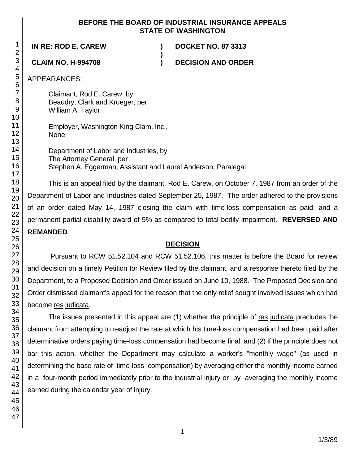## **BEFORE THE BOARD OF INDUSTRIAL INSURANCE APPEALS STATE OF WASHINGTON**

**)**

**IN RE: ROD E. CAREW ) DOCKET NO. 87 3313**

**CLAIM NO. H-994708 ) DECISION AND ORDER**

APPEARANCES:

Claimant, Rod E. Carew, by Beaudry, Clark and Krueger, per William A. Taylor

Employer, Washington King Clam, Inc., None

Department of Labor and Industries, by The Attorney General, per Stephen A. Eggerman, Assistant and Laurel Anderson, Paralegal

This is an appeal filed by the claimant, Rod E. Carew, on October 7, 1987 from an order of the Department of Labor and Industries dated September 25, 1987. The order adhered to the provisions of an order dated May 14, 1987 closing the claim with time-loss compensation as paid, and a permanent partial disability award of 5% as compared to total bodily impairment. **REVERSED AND REMANDED**.

# **DECISION**

Pursuant to RCW 51.52.104 and RCW 51.52.106, this matter is before the Board for review and decision on a timely Petition for Review filed by the claimant, and a response thereto filed by the Department, to a Proposed Decision and Order issued on June 10, 1988. The Proposed Decision and Order dismissed claimant's appeal for the reason that the only relief sought involved issues which had become res judicata.

The issues presented in this appeal are (1) whether the principle of res judicata precludes the claimant from attempting to readjust the rate at which his time-loss compensation had been paid after determinative orders paying time-loss compensation had become final; and (2) if the principle does not bar this action, whether the Department may calculate a worker's "monthly wage" (as used in determining the base rate of time-loss compensation) by averaging either the monthly income earned in a four-month period immediately prior to the industrial injury or by averaging the monthly income earned during the calendar year of injury.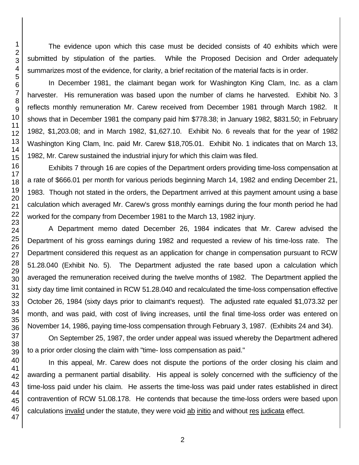The evidence upon which this case must be decided consists of 40 exhibits which were submitted by stipulation of the parties. While the Proposed Decision and Order adequately summarizes most of the evidence, for clarity, a brief recitation of the material facts is in order.

In December 1981, the claimant began work for Washington King Clam, Inc. as a clam harvester. His remuneration was based upon the number of clams he harvested. Exhibit No. 3 reflects monthly remuneration Mr. Carew received from December 1981 through March 1982. It shows that in December 1981 the company paid him \$778.38; in January 1982, \$831.50; in February 1982, \$1,203.08; and in March 1982, \$1,627.10. Exhibit No. 6 reveals that for the year of 1982 Washington King Clam, Inc. paid Mr. Carew \$18,705.01. Exhibit No. 1 indicates that on March 13, 1982, Mr. Carew sustained the industrial injury for which this claim was filed.

Exhibits 7 through 16 are copies of the Department orders providing time-loss compensation at a rate of \$666.01 per month for various periods beginning March 14, 1982 and ending December 21, 1983. Though not stated in the orders, the Department arrived at this payment amount using a base calculation which averaged Mr. Carew's gross monthly earnings during the four month period he had worked for the company from December 1981 to the March 13, 1982 injury.

A Department memo dated December 26, 1984 indicates that Mr. Carew advised the Department of his gross earnings during 1982 and requested a review of his time-loss rate. The Department considered this request as an application for change in compensation pursuant to RCW 51.28.040 (Exhibit No. 5). The Department adjusted the rate based upon a calculation which averaged the remuneration received during the twelve months of 1982. The Department applied the sixty day time limit contained in RCW 51.28.040 and recalculated the time-loss compensation effective October 26, 1984 (sixty days prior to claimant's request). The adjusted rate equaled \$1,073.32 per month, and was paid, with cost of living increases, until the final time-loss order was entered on November 14, 1986, paying time-loss compensation through February 3, 1987. (Exhibits 24 and 34).

On September 25, 1987, the order under appeal was issued whereby the Department adhered to a prior order closing the claim with "time- loss compensation as paid."

In this appeal, Mr. Carew does not dispute the portions of the order closing his claim and awarding a permanent partial disability. His appeal is solely concerned with the sufficiency of the time-loss paid under his claim. He asserts the time-loss was paid under rates established in direct contravention of RCW 51.08.178. He contends that because the time-loss orders were based upon calculations invalid under the statute, they were void ab initio and without res judicata effect.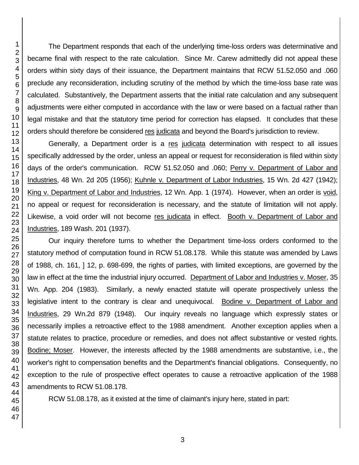The Department responds that each of the underlying time-loss orders was determinative and became final with respect to the rate calculation. Since Mr. Carew admittedly did not appeal these orders within sixty days of their issuance, the Department maintains that RCW 51.52.050 and .060 preclude any reconsideration, including scrutiny of the method by which the time-loss base rate was calculated. Substantively, the Department asserts that the initial rate calculation and any subsequent adjustments were either computed in accordance with the law or were based on a factual rather than legal mistake and that the statutory time period for correction has elapsed. It concludes that these orders should therefore be considered res judicata and beyond the Board's jurisdiction to review.

Generally, a Department order is a res judicata determination with respect to all issues specifically addressed by the order, unless an appeal or request for reconsideration is filed within sixty days of the order's communication. RCW 51.52.050 and .060; Perry v. Department of Labor and Industries, 48 Wn. 2d 205 (1956); Kuhnle v. Department of Labor Industries, 15 Wn. 2d 427 (1942); King v. Department of Labor and Industries, 12 Wn. App. 1 (1974). However, when an order is void, no appeal or request for reconsideration is necessary, and the statute of limitation will not apply. Likewise, a void order will not become res judicata in effect. Booth v. Department of Labor and Industries, 189 Wash. 201 (1937).

Our inquiry therefore turns to whether the Department time-loss orders conformed to the statutory method of computation found in RCW 51.08.178. While this statute was amended by Laws of 1988, ch. 161, ] 12, p. 698-699, the rights of parties, with limited exceptions, are governed by the law in effect at the time the industrial injury occurred. Department of Labor and Industries v. Moser, 35 Wn. App. 204 (1983). Similarly, a newly enacted statute will operate prospectively unless the legislative intent to the contrary is clear and unequivocal. Bodine v. Department of Labor and Industries, 29 Wn.2d 879 (1948). Our inquiry reveals no language which expressly states or necessarily implies a retroactive effect to the 1988 amendment. Another exception applies when a statute relates to practice, procedure or remedies, and does not affect substantive or vested rights. Bodine; Moser. However, the interests affected by the 1988 amendments are substantive, i.e., the worker's right to compensation benefits and the Department's financial obligations. Consequently, no exception to the rule of prospective effect operates to cause a retroactive application of the 1988 amendments to RCW 51.08.178.

RCW 51.08.178, as it existed at the time of claimant's injury here, stated in part: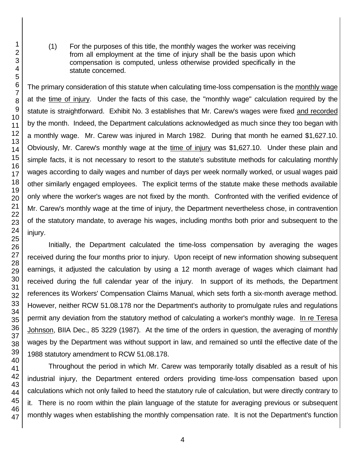(1) For the purposes of this title, the monthly wages the worker was receiving from all employment at the time of injury shall be the basis upon which compensation is computed, unless otherwise provided specifically in the statute concerned.

The primary consideration of this statute when calculating time-loss compensation is the monthly wage at the time of injury. Under the facts of this case, the "monthly wage" calculation required by the statute is straightforward. Exhibit No. 3 establishes that Mr. Carew's wages were fixed and recorded by the month. Indeed, the Department calculations acknowledged as much since they too began with a monthly wage. Mr. Carew was injured in March 1982. During that month he earned \$1,627.10. Obviously, Mr. Carew's monthly wage at the time of injury was \$1,627.10. Under these plain and simple facts, it is not necessary to resort to the statute's substitute methods for calculating monthly wages according to daily wages and number of days per week normally worked, or usual wages paid other similarly engaged employees. The explicit terms of the statute make these methods available only where the worker's wages are not fixed by the month. Confronted with the verified evidence of Mr. Carew's monthly wage at the time of injury, the Department nevertheless chose, in contravention of the statutory mandate, to average his wages, including months both prior and subsequent to the injury.

Initially, the Department calculated the time-loss compensation by averaging the wages received during the four months prior to injury. Upon receipt of new information showing subsequent earnings, it adjusted the calculation by using a 12 month average of wages which claimant had received during the full calendar year of the injury. In support of its methods, the Department references its Workers' Compensation Claims Manual, which sets forth a six-month average method. However, neither RCW 51.08.178 nor the Department's authority to promulgate rules and regulations permit any deviation from the statutory method of calculating a worker's monthly wage. In re Teresa Johnson, BIIA Dec., 85 3229 (1987). At the time of the orders in question, the averaging of monthly wages by the Department was without support in law, and remained so until the effective date of the 1988 statutory amendment to RCW 51.08.178.

Throughout the period in which Mr. Carew was temporarily totally disabled as a result of his industrial injury, the Department entered orders providing time-loss compensation based upon calculations which not only failed to heed the statutory rule of calculation, but were directly contrary to it. There is no room within the plain language of the statute for averaging previous or subsequent monthly wages when establishing the monthly compensation rate. It is not the Department's function

1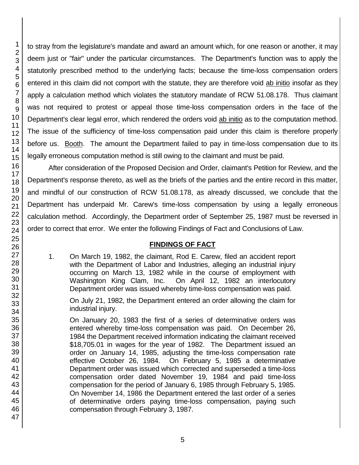1 2

to stray from the legislature's mandate and award an amount which, for one reason or another, it may deem just or "fair" under the particular circumstances. The Department's function was to apply the statutorily prescribed method to the underlying facts; because the time-loss compensation orders entered in this claim did not comport with the statute, they are therefore void ab initio insofar as they apply a calculation method which violates the statutory mandate of RCW 51.08.178. Thus claimant was not required to protest or appeal those time-loss compensation orders in the face of the Department's clear legal error, which rendered the orders void ab initio as to the computation method. The issue of the sufficiency of time-loss compensation paid under this claim is therefore properly before us. Booth. The amount the Department failed to pay in time-loss compensation due to its legally erroneous computation method is still owing to the claimant and must be paid.

After consideration of the Proposed Decision and Order, claimant's Petition for Review, and the Department's response thereto, as well as the briefs of the parties and the entire record in this matter, and mindful of our construction of RCW 51.08.178, as already discussed, we conclude that the Department has underpaid Mr. Carew's time-loss compensation by using a legally erroneous calculation method. Accordingly, the Department order of September 25, 1987 must be reversed in order to correct that error. We enter the following Findings of Fact and Conclusions of Law.

# **FINDINGS OF FACT**

1. On March 19, 1982, the claimant, Rod E. Carew, filed an accident report with the Department of Labor and Industries, alleging an industrial injury occurring on March 13, 1982 while in the course of employment with Washington King Clam, Inc. On April 12, 1982 an interlocutory Department order was issued whereby time-loss compensation was paid.

On July 21, 1982, the Department entered an order allowing the claim for industrial injury.

On January 20, 1983 the first of a series of determinative orders was entered whereby time-loss compensation was paid. On December 26, 1984 the Department received information indicating the claimant received \$18,705.01 in wages for the year of 1982. The Department issued an order on January 14, 1985, adjusting the time-loss compensation rate effective October 26, 1984. On February 5, 1985 a determinative Department order was issued which corrected and superseded a time-loss compensation order dated November 19, 1984 and paid time-loss compensation for the period of January 6, 1985 through February 5, 1985. On November 14, 1986 the Department entered the last order of a series of determinative orders paying time-loss compensation, paying such compensation through February 3, 1987.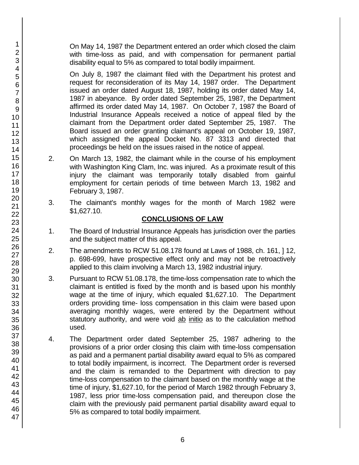On May 14, 1987 the Department entered an order which closed the claim with time-loss as paid, and with compensation for permanent partial disability equal to 5% as compared to total bodily impairment.

On July 8, 1987 the claimant filed with the Department his protest and request for reconsideration of its May 14, 1987 order. The Department issued an order dated August 18, 1987, holding its order dated May 14, 1987 in abeyance. By order dated September 25, 1987, the Department affirmed its order dated May 14, 1987. On October 7, 1987 the Board of Industrial Insurance Appeals received a notice of appeal filed by the claimant from the Department order dated September 25, 1987. The Board issued an order granting claimant's appeal on October 19, 1987, which assigned the appeal Docket No. 87 3313 and directed that proceedings be held on the issues raised in the notice of appeal.

- 2. On March 13, 1982, the claimant while in the course of his employment with Washington King Clam, Inc. was injured. As a proximate result of this injury the claimant was temporarily totally disabled from gainful employment for certain periods of time between March 13, 1982 and February 3, 1987.
- 3. The claimant's monthly wages for the month of March 1982 were \$1,627.10.

# **CONCLUSIONS OF LAW**

- 1. The Board of Industrial Insurance Appeals has jurisdiction over the parties and the subject matter of this appeal.
- 2. The amendments to RCW 51.08.178 found at Laws of 1988, ch. 161, ] 12, p. 698-699, have prospective effect only and may not be retroactively applied to this claim involving a March 13, 1982 industrial injury.
- 3. Pursuant to RCW 51.08.178, the time-loss compensation rate to which the claimant is entitled is fixed by the month and is based upon his monthly wage at the time of injury, which equaled \$1,627.10. The Department orders providing time- loss compensation in this claim were based upon averaging monthly wages, were entered by the Department without statutory authority, and were void ab initio as to the calculation method used.
- 4. The Department order dated September 25, 1987 adhering to the provisions of a prior order closing this claim with time-loss compensation as paid and a permanent partial disability award equal to 5% as compared to total bodily impairment, is incorrect. The Department order is reversed and the claim is remanded to the Department with direction to pay time-loss compensation to the claimant based on the monthly wage at the time of injury, \$1,627.10, for the period of March 1982 through February 3, 1987, less prior time-loss compensation paid, and thereupon close the claim with the previously paid permanent partial disability award equal to 5% as compared to total bodily impairment.